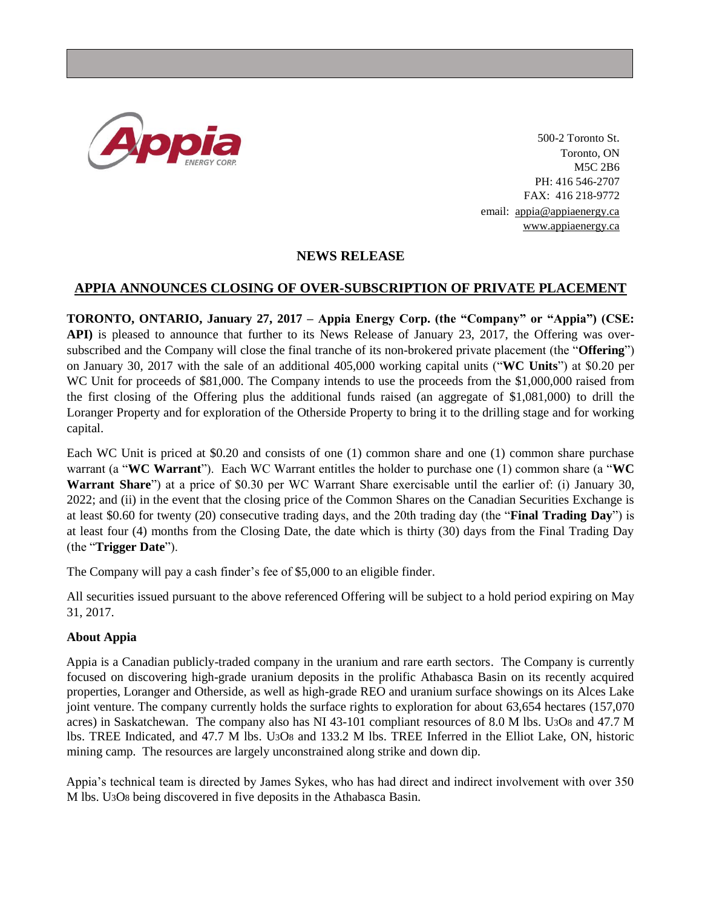

500-2 Toronto St. Toronto, ON M5C 2B6 PH: 416 546-2707 FAX: 416 218-9772 email: [appia@appiaenergy.ca](mailto:appia@appiaenergy.ca) [www.appiaenergy.ca](http://www.appiaenergy.ca/)

## **NEWS RELEASE**

## **APPIA ANNOUNCES CLOSING OF OVER-SUBSCRIPTION OF PRIVATE PLACEMENT**

**TORONTO, ONTARIO, January 27, 2017 – Appia Energy Corp. (the "Company" or "Appia") (CSE: API)** is pleased to announce that further to its News Release of January 23, 2017, the Offering was oversubscribed and the Company will close the final tranche of its non-brokered private placement (the "**Offering**") on January 30, 2017 with the sale of an additional 405,000 working capital units ("**WC Units**") at \$0.20 per WC Unit for proceeds of \$81,000. The Company intends to use the proceeds from the \$1,000,000 raised from the first closing of the Offering plus the additional funds raised (an aggregate of \$1,081,000) to drill the Loranger Property and for exploration of the Otherside Property to bring it to the drilling stage and for working capital.

Each WC Unit is priced at \$0.20 and consists of one (1) common share and one (1) common share purchase warrant (a "**WC Warrant**"). Each WC Warrant entitles the holder to purchase one (1) common share (a "**WC Warrant Share**") at a price of \$0.30 per WC Warrant Share exercisable until the earlier of: (i) January 30, 2022; and (ii) in the event that the closing price of the Common Shares on the Canadian Securities Exchange is at least \$0.60 for twenty (20) consecutive trading days, and the 20th trading day (the "**Final Trading Day**") is at least four (4) months from the Closing Date, the date which is thirty (30) days from the Final Trading Day (the "**Trigger Date**").

The Company will pay a cash finder's fee of \$5,000 to an eligible finder.

All securities issued pursuant to the above referenced Offering will be subject to a hold period expiring on May 31, 2017.

## **About Appia**

Appia is a Canadian publicly-traded company in the uranium and rare earth sectors. The Company is currently focused on discovering high-grade uranium deposits in the prolific Athabasca Basin on its recently acquired properties, Loranger and Otherside, as well as high-grade REO and uranium surface showings on its Alces Lake joint venture. The company currently holds the surface rights to exploration for about 63,654 hectares (157,070 acres) in Saskatchewan. The company also has NI 43-101 compliant resources of 8.0 M lbs. U3O8 and 47.7 M lbs. TREE Indicated, and 47.7 M lbs. U3O8 and 133.2 M lbs. TREE Inferred in the Elliot Lake, ON, historic mining camp. The resources are largely unconstrained along strike and down dip.

Appia's technical team is directed by James Sykes, who has had direct and indirect involvement with over 350 M lbs. U3O8 being discovered in five deposits in the Athabasca Basin.